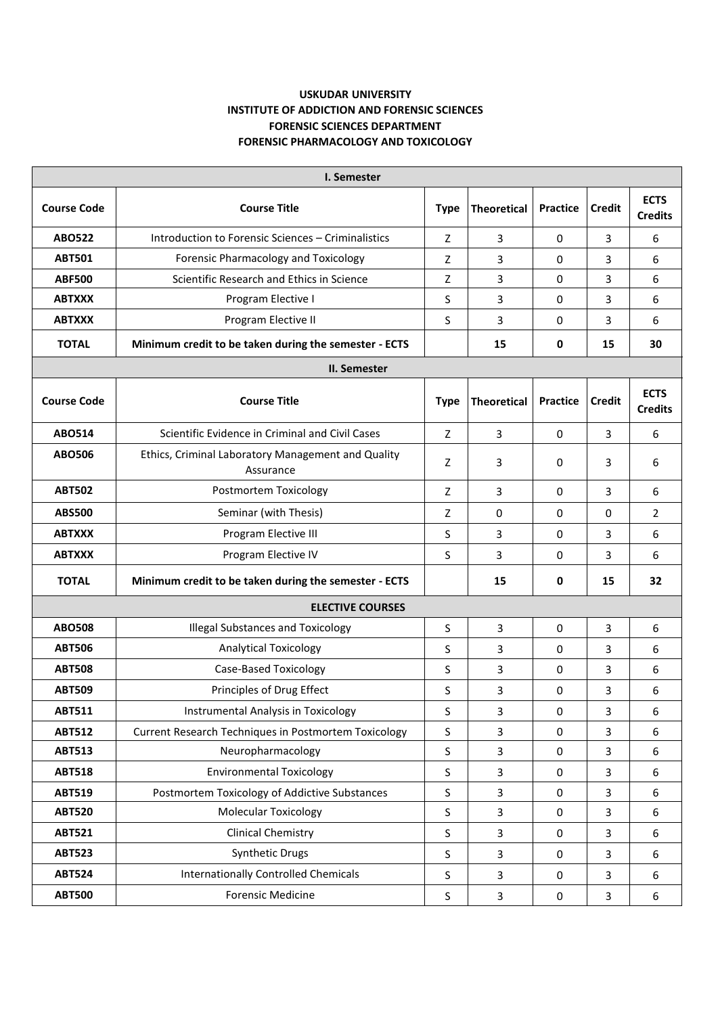## **USKUDAR UNIVERSITY INSTITUTE OF ADDICTION AND FORENSIC SCIENCES FORENSIC SCIENCES DEPARTMENT FORENSIC PHARMACOLOGY AND TOXICOLOGY**

| <b>I. Semester</b>      |                                                                 |              |                    |                 |                |                               |  |  |  |  |
|-------------------------|-----------------------------------------------------------------|--------------|--------------------|-----------------|----------------|-------------------------------|--|--|--|--|
| <b>Course Code</b>      | <b>Course Title</b>                                             | <b>Type</b>  | <b>Theoretical</b> | <b>Practice</b> | <b>Credit</b>  | <b>ECTS</b><br><b>Credits</b> |  |  |  |  |
| <b>ABO522</b>           | Introduction to Forensic Sciences - Criminalistics              | Z            | 3                  | 0               | 3              | 6                             |  |  |  |  |
| <b>ABT501</b>           | Forensic Pharmacology and Toxicology                            | Z            | 3                  | 0               | 3              | 6                             |  |  |  |  |
| <b>ABF500</b>           | Scientific Research and Ethics in Science                       | Z            | 3                  | 0               | 3              | 6                             |  |  |  |  |
| <b>ABTXXX</b>           | Program Elective I                                              | S            | 3                  | 0               | 3              | 6                             |  |  |  |  |
| <b>ABTXXX</b>           | Program Elective II                                             | S            | 3                  | 0               | 3              | 6                             |  |  |  |  |
| <b>TOTAL</b>            | Minimum credit to be taken during the semester - ECTS           |              | 15                 | 0               | 15             | 30                            |  |  |  |  |
| II. Semester            |                                                                 |              |                    |                 |                |                               |  |  |  |  |
| <b>Course Code</b>      | <b>Course Title</b>                                             | <b>Type</b>  | <b>Theoretical</b> | <b>Practice</b> | <b>Credit</b>  | <b>ECTS</b><br><b>Credits</b> |  |  |  |  |
| <b>ABO514</b>           | Scientific Evidence in Criminal and Civil Cases                 | Z            | 3                  | $\Omega$        | 3              | 6                             |  |  |  |  |
| <b>ABO506</b>           | Ethics, Criminal Laboratory Management and Quality<br>Assurance | Z            | 3                  | 0               | 3              | 6                             |  |  |  |  |
| <b>ABT502</b>           | Postmortem Toxicology                                           | Z            | 3                  | $\Omega$        | 3              | 6                             |  |  |  |  |
| <b>ABS500</b>           | Seminar (with Thesis)                                           | Z            | 0                  | $\mathbf 0$     | 0              | $\overline{2}$                |  |  |  |  |
| <b>ABTXXX</b>           | Program Elective III                                            | S            | 3                  | 0               | 3              | 6                             |  |  |  |  |
| <b>ABTXXX</b>           | Program Elective IV                                             | S            | 3                  | 0               | 3              | 6                             |  |  |  |  |
| <b>TOTAL</b>            | Minimum credit to be taken during the semester - ECTS           |              | 15                 | 0               | 15             | 32                            |  |  |  |  |
| <b>ELECTIVE COURSES</b> |                                                                 |              |                    |                 |                |                               |  |  |  |  |
| <b>ABO508</b>           | <b>Illegal Substances and Toxicology</b>                        | S            | 3                  | 0               | 3              | 6                             |  |  |  |  |
| <b>ABT506</b>           | <b>Analytical Toxicology</b>                                    | S            | 3                  | 0               | 3              | 6                             |  |  |  |  |
| <b>ABT508</b>           | <b>Case-Based Toxicology</b>                                    | S            | 3                  | 0               | 3              | 6                             |  |  |  |  |
| <b>ABT509</b>           | Principles of Drug Effect                                       | S            | 3                  | 0               | 3              | 6                             |  |  |  |  |
| <b>ABT511</b>           | Instrumental Analysis in Toxicology                             | S            | 3                  | 0               | 3              | 6                             |  |  |  |  |
| <b>ABT512</b>           | Current Research Techniques in Postmortem Toxicology            | $\mathsf{S}$ | $\overline{3}$     | $\mathbf 0$     | $\overline{3}$ | 6                             |  |  |  |  |
| <b>ABT513</b>           | Neuropharmacology                                               | $\sf S$      | 3                  | $\mathbf 0$     | 3              | 6                             |  |  |  |  |
| <b>ABT518</b>           | <b>Environmental Toxicology</b>                                 | $\mathsf{S}$ | $\overline{3}$     | $\mathbf 0$     | 3              | 6                             |  |  |  |  |
| <b>ABT519</b>           | Postmortem Toxicology of Addictive Substances                   | $\mathsf{S}$ | $\mathbf{3}$       | 0               | 3              | 6                             |  |  |  |  |
| <b>ABT520</b>           | <b>Molecular Toxicology</b>                                     | $\sf S$      | 3                  | 0               | 3              | 6                             |  |  |  |  |
| <b>ABT521</b>           | <b>Clinical Chemistry</b>                                       | $\sf S$      | $\overline{3}$     | $\mathbf 0$     | 3              | 6                             |  |  |  |  |
| <b>ABT523</b>           | Synthetic Drugs                                                 | $\sf S$      | 3                  | $\mathbf 0$     | 3              | 6                             |  |  |  |  |
| <b>ABT524</b>           | <b>Internationally Controlled Chemicals</b>                     | $\sf S$      | 3                  | 0               | 3              | 6                             |  |  |  |  |
| <b>ABT500</b>           | <b>Forensic Medicine</b>                                        | $\sf S$      | $\mathbf{3}$       | $\pmb{0}$       | 3              | 6                             |  |  |  |  |